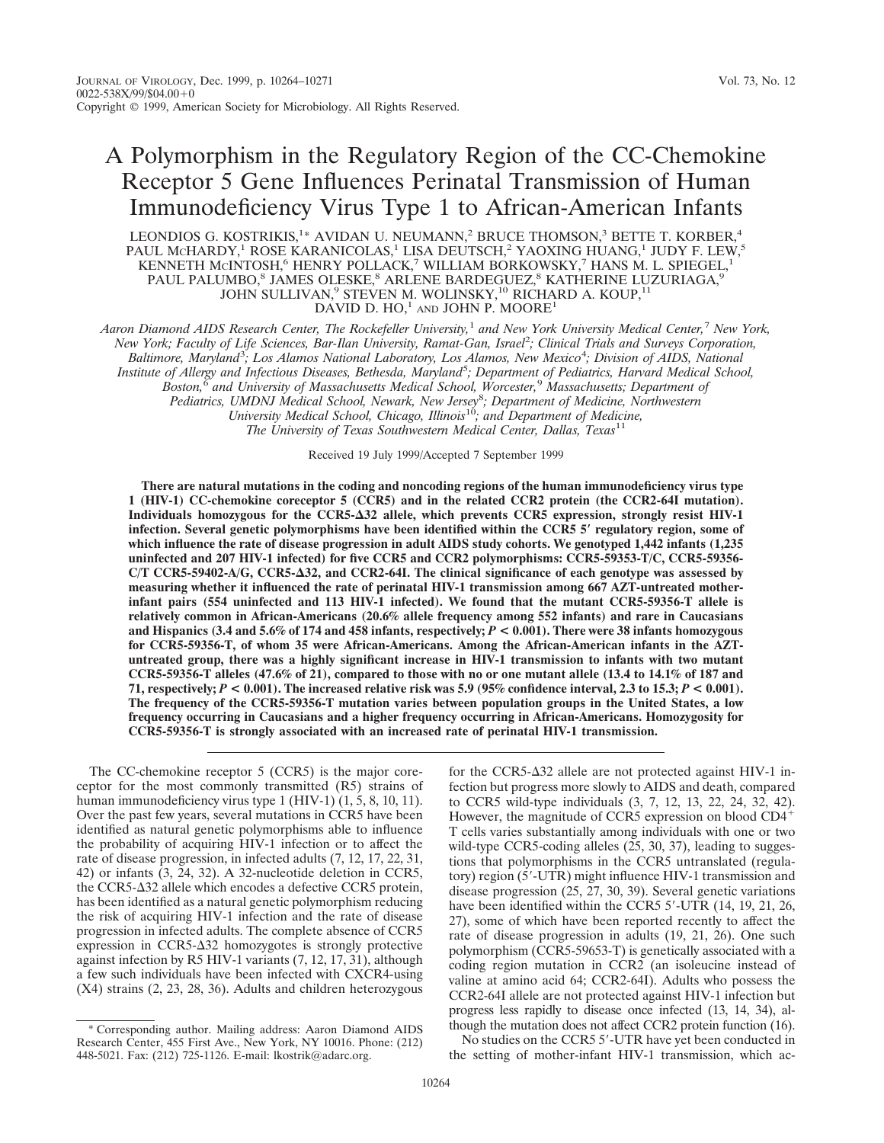# A Polymorphism in the Regulatory Region of the CC-Chemokine Receptor 5 Gene Influences Perinatal Transmission of Human Immunodeficiency Virus Type 1 to African-American Infants

LEONDIOS G. KOSTRIKIS,<sup>1</sup>\* AVIDAN U. NEUMANN,<sup>2</sup> BRUCE THOMSON,<sup>3</sup> BETTE T. KORBER,<sup>4</sup> PAUL McHARDY,<sup>1</sup> ROSE KARANICOLAS,<sup>1</sup> LISA DEUTSCH,<sup>2</sup> YAOXING HUANG,<sup>1</sup> JUDY F. LEW,<sup>5</sup> KENNETH MCINTOSH,<sup>6</sup> HENRY POLLACK,<sup>7</sup> WILLIAM BORKOWSKY,<sup>7</sup> HANS M. L. SPIEGEL,<sup>1</sup> PAUL PALUMBO, $^8$  JAMES OLESKE, $^8$  ARLENE BARDEGUEZ, $^8$  KATHERINE LUZURIAGA, $^9$ JOHN SULLIVAN,<sup>9</sup> STEVEN M. WOLINSKY,<sup>10</sup> RICHARD A. KOUP,<sup>11</sup> DAVID D.  $HO, 1$  and JOHN P. MOORE<sup>1</sup>

*Aaron Diamond AIDS Research Center, The Rockefeller University,*<sup>1</sup> *and New York University Medical Center,*<sup>7</sup> *New York, New York; Faculty of Life Sciences, Bar-Ilan University, Ramat-Gan, Israel*<sup>2</sup> *; Clinical Trials and Surveys Corporation, Baltimore, Maryland*<sup>3</sup> *; Los Alamos National Laboratory, Los Alamos, New Mexico*<sup>4</sup> *; Division of AIDS, National* Institute of Allergy and Infectious Diseases, Bethesda, Maryland<sup>5</sup>; Department of Pediatrics, Harvard Medical School,<br>Boston, <sup>6</sup> and University of Massachusetts Medical School, Worcester, <sup>9</sup> Massachusetts; Department of *Pediatrics, UMDNJ Medical School, Newark, New Jersey*<sup>8</sup> *; Department of Medicine, Northwestern University Medical School, Chicago, Illinois*10*; and Department of Medicine,*

*The University of Texas Southwestern Medical Center, Dallas, Texas*<sup>11</sup>

Received 19 July 1999/Accepted 7 September 1999

**There are natural mutations in the coding and noncoding regions of the human immunodeficiency virus type 1 (HIV-1) CC-chemokine coreceptor 5 (CCR5) and in the related CCR2 protein (the CCR2-64I mutation). Individuals homozygous for the CCR5-**D**32 allele, which prevents CCR5 expression, strongly resist HIV-1 infection. Several genetic polymorphisms have been identified within the CCR5 5**\* **regulatory region, some of which influence the rate of disease progression in adult AIDS study cohorts. We genotyped 1,442 infants (1,235 uninfected and 207 HIV-1 infected) for five CCR5 and CCR2 polymorphisms: CCR5-59353-T/C, CCR5-59356- C/T CCR5-59402-A/G, CCR5-**D**32, and CCR2-64I. The clinical significance of each genotype was assessed by measuring whether it influenced the rate of perinatal HIV-1 transmission among 667 AZT-untreated motherinfant pairs (554 uninfected and 113 HIV-1 infected). We found that the mutant CCR5-59356-T allele is relatively common in African-Americans (20.6% allele frequency among 552 infants) and rare in Caucasians and Hispanics (3.4 and 5.6% of 174 and 458 infants, respectively;** *P* **< 0.001). There were 38 infants homozygous for CCR5-59356-T, of whom 35 were African-Americans. Among the African-American infants in the AZTuntreated group, there was a highly significant increase in HIV-1 transmission to infants with two mutant CCR5-59356-T alleles (47.6% of 21), compared to those with no or one mutant allele (13.4 to 14.1% of 187 and 71, respectively;** *P* **< 0.001). The increased relative risk was 5.9 (95% confidence interval, 2.3 to 15.3;** *P* **< 0.001). The frequency of the CCR5-59356-T mutation varies between population groups in the United States, a low frequency occurring in Caucasians and a higher frequency occurring in African-Americans. Homozygosity for CCR5-59356-T is strongly associated with an increased rate of perinatal HIV-1 transmission.**

The CC-chemokine receptor 5 (CCR5) is the major coreceptor for the most commonly transmitted (R5) strains of human immunodeficiency virus type 1 (HIV-1) (1, 5, 8, 10, 11). Over the past few years, several mutations in CCR5 have been identified as natural genetic polymorphisms able to influence the probability of acquiring HIV-1 infection or to affect the rate of disease progression, in infected adults (7, 12, 17, 22, 31, 42) or infants (3, 24, 32). A 32-nucleotide deletion in CCR5, the CCR5- $\Delta$ 32 allele which encodes a defective CCR5 protein, has been identified as a natural genetic polymorphism reducing the risk of acquiring HIV-1 infection and the rate of disease progression in infected adults. The complete absence of CCR5 expression in  $CCR5-\Delta 32$  homozygotes is strongly protective against infection by R5 HIV-1 variants (7, 12, 17, 31), although a few such individuals have been infected with CXCR4-using (X4) strains (2, 23, 28, 36). Adults and children heterozygous

for the CCR5- $\Delta$ 32 allele are not protected against HIV-1 infection but progress more slowly to AIDS and death, compared to CCR5 wild-type individuals (3, 7, 12, 13, 22, 24, 32, 42). However, the magnitude of CCR5 expression on blood  $CD4^+$ T cells varies substantially among individuals with one or two wild-type CCR5-coding alleles (25, 30, 37), leading to suggestions that polymorphisms in the CCR5 untranslated (regulatory) region (5'-UTR) might influence HIV-1 transmission and disease progression (25, 27, 30, 39). Several genetic variations have been identified within the CCR5 5'-UTR (14, 19, 21, 26, 27), some of which have been reported recently to affect the rate of disease progression in adults (19, 21, 26). One such polymorphism (CCR5-59653-T) is genetically associated with a coding region mutation in CCR2 (an isoleucine instead of valine at amino acid 64; CCR2-64I). Adults who possess the CCR2-64I allele are not protected against HIV-1 infection but progress less rapidly to disease once infected (13, 14, 34), although the mutation does not affect CCR2 protein function (16).

No studies on the CCR5 5'-UTR have yet been conducted in the setting of mother-infant HIV-1 transmission, which ac-

<sup>\*</sup> Corresponding author. Mailing address: Aaron Diamond AIDS Research Center, 455 First Ave., New York, NY 10016. Phone: (212) 448-5021. Fax: (212) 725-1126. E-mail: lkostrik@adarc.org.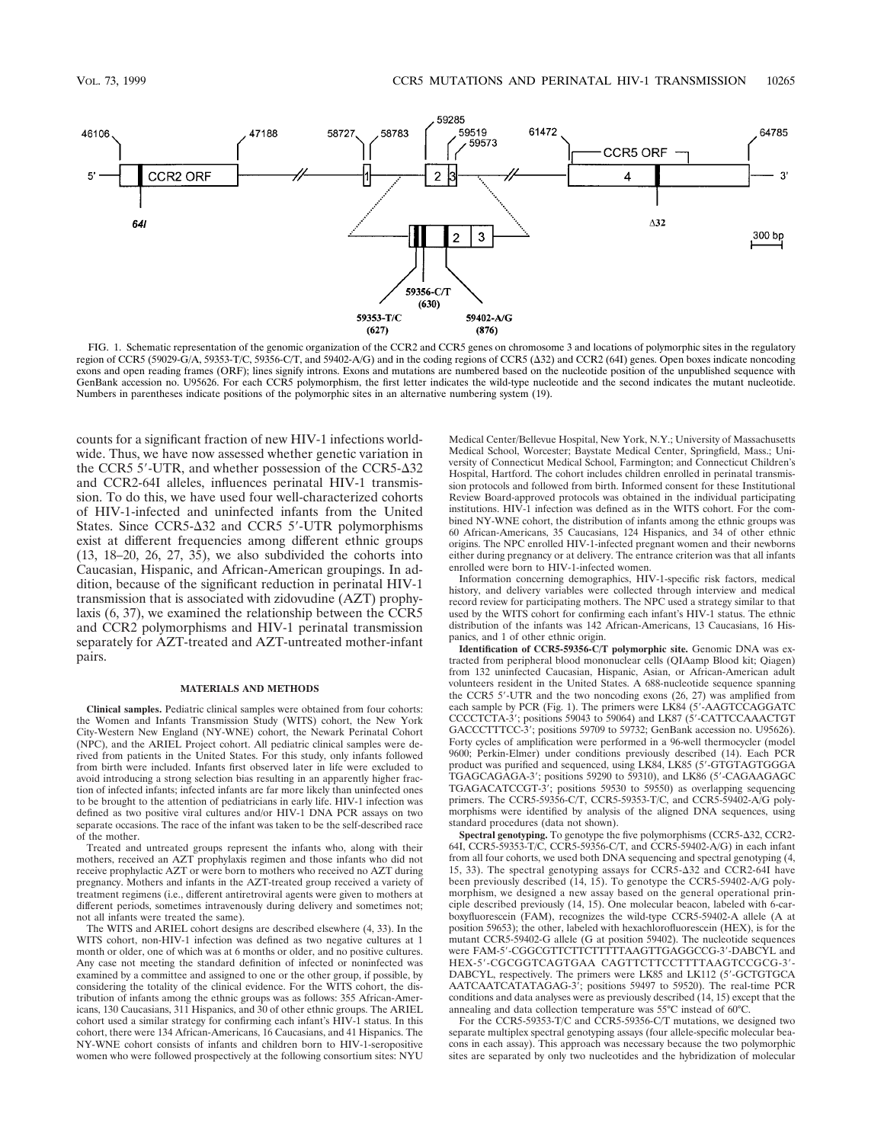

FIG. 1. Schematic representation of the genomic organization of the CCR2 and CCR5 genes on chromosome 3 and locations of polymorphic sites in the regulatory region of CCR5 (59029-G/A, 59353-T/C, 59356-C/T, and 59402-A/G) and in the coding regions of CCR5 ( $\Delta$ 32) and CCR2 (64I) genes. Open boxes indicate noncoding exons and open reading frames (ORF); lines signify introns. Exons and mutations are numbered based on the nucleotide position of the unpublished sequence with GenBank accession no. U95626. For each CCR5 polymorphism, the first letter indicates the wild-type nucleotide and the second indicates the mutant nucleotide. Numbers in parentheses indicate positions of the polymorphic sites in an alternative numbering system (19).

counts for a significant fraction of new HIV-1 infections worldwide. Thus, we have now assessed whether genetic variation in the CCR5  $5'$ -UTR, and whether possession of the CCR5- $\Delta$ 32 and CCR2-64I alleles, influences perinatal HIV-1 transmission. To do this, we have used four well-characterized cohorts of HIV-1-infected and uninfected infants from the United States. Since CCR5- $\Delta$ 32 and CCR5 5'-UTR polymorphisms exist at different frequencies among different ethnic groups (13, 18–20, 26, 27, 35), we also subdivided the cohorts into Caucasian, Hispanic, and African-American groupings. In addition, because of the significant reduction in perinatal HIV-1 transmission that is associated with zidovudine (AZT) prophylaxis (6, 37), we examined the relationship between the CCR5 and CCR2 polymorphisms and HIV-1 perinatal transmission separately for AZT-treated and AZT-untreated mother-infant pairs.

#### **MATERIALS AND METHODS**

**Clinical samples.** Pediatric clinical samples were obtained from four cohorts: the Women and Infants Transmission Study (WITS) cohort, the New York City-Western New England (NY-WNE) cohort, the Newark Perinatal Cohort (NPC), and the ARIEL Project cohort. All pediatric clinical samples were derived from patients in the United States. For this study, only infants followed from birth were included. Infants first observed later in life were excluded to avoid introducing a strong selection bias resulting in an apparently higher fraction of infected infants; infected infants are far more likely than uninfected ones to be brought to the attention of pediatricians in early life. HIV-1 infection was defined as two positive viral cultures and/or HIV-1 DNA PCR assays on two separate occasions. The race of the infant was taken to be the self-described race of the mother.

Treated and untreated groups represent the infants who, along with their mothers, received an AZT prophylaxis regimen and those infants who did not receive prophylactic AZT or were born to mothers who received no AZT during pregnancy. Mothers and infants in the AZT-treated group received a variety of treatment regimens (i.e., different antiretroviral agents were given to mothers at different periods, sometimes intravenously during delivery and sometimes not; not all infants were treated the same).

The WITS and ARIEL cohort designs are described elsewhere (4, 33). In the WITS cohort, non-HIV-1 infection was defined as two negative cultures at 1 month or older, one of which was at 6 months or older, and no positive cultures. Any case not meeting the standard definition of infected or noninfected was examined by a committee and assigned to one or the other group, if possible, by considering the totality of the clinical evidence. For the WITS cohort, the distribution of infants among the ethnic groups was as follows: 355 African-Americans, 130 Caucasians, 311 Hispanics, and 30 of other ethnic groups. The ARIEL cohort used a similar strategy for confirming each infant's HIV-1 status. In this cohort, there were 134 African-Americans, 16 Caucasians, and 41 Hispanics. The NY-WNE cohort consists of infants and children born to HIV-1-seropositive women who were followed prospectively at the following consortium sites: NYU

Medical Center/Bellevue Hospital, New York, N.Y.; University of Massachusetts Medical School, Worcester; Baystate Medical Center, Springfield, Mass.; University of Connecticut Medical School, Farmington; and Connecticut Children's Hospital, Hartford. The cohort includes children enrolled in perinatal transmission protocols and followed from birth. Informed consent for these Institutional Review Board-approved protocols was obtained in the individual participating institutions. HIV-1 infection was defined as in the WITS cohort. For the combined NY-WNE cohort, the distribution of infants among the ethnic groups was 60 African-Americans, 35 Caucasians, 124 Hispanics, and 34 of other ethnic origins. The NPC enrolled HIV-1-infected pregnant women and their newborns either during pregnancy or at delivery. The entrance criterion was that all infants enrolled were born to HIV-1-infected women.

Information concerning demographics, HIV-1-specific risk factors, medical history, and delivery variables were collected through interview and medical record review for participating mothers. The NPC used a strategy similar to that used by the WITS cohort for confirming each infant's HIV-1 status. The ethnic distribution of the infants was 142 African-Americans, 13 Caucasians, 16 Hispanics, and 1 of other ethnic origin.

**Identification of CCR5-59356-C/T polymorphic site.** Genomic DNA was extracted from peripheral blood mononuclear cells (QIAamp Blood kit; Qiagen) from 132 uninfected Caucasian, Hispanic, Asian, or African-American adult volunteers resident in the United States. A 688-nucleotide sequence spanning the CCR5 5'-UTR and the two noncoding exons  $(26, 27)$  was amplified from each sample by PCR (Fig. 1). The primers were LK84 (5'-AAGTCCAGGATC CCCCTCTA-3'; positions 59043 to 59064) and LK87 (5'-CATTCCAAACTGT GACCCTTTCC-3'; positions 59709 to 59732; GenBank accession no. U95626). Forty cycles of amplification were performed in a 96-well thermocycler (model 9600; Perkin-Elmer) under conditions previously described (14). Each PCR product was purified and sequenced, using LK84, LK85 (5'-GTGTAGTGGGA TGAGCAGAGA-3'; positions 59290 to 59310), and LK86 (5'-CAGAAGAGC TGAGACATCCGT-3'; positions 59530 to 59550) as overlapping sequencing primers. The CCR5-59356-C/T, CCR5-59353-T/C, and CCR5-59402-A/G polymorphisms were identified by analysis of the aligned DNA sequences, using standard procedures (data not shown).

Spectral genotyping. To genotype the five polymorphisms (CCR5- $\Delta$ 32, CCR2-64I, CCR5-59353-T/C, CCR5-59356-C/T, and CCR5-59402-A/G) in each infant from all four cohorts, we used both DNA sequencing and spectral genotyping (4, 15, 33). The spectral genotyping assays for CCR5- $\Delta$ 32 and CCR2-64I have been previously described (14, 15). To genotype the CCR5-59402-A/G polymorphism, we designed a new assay based on the general operational principle described previously (14, 15). One molecular beacon, labeled with  $\vec{6}$ -carboxyfluorescein (FAM), recognizes the wild-type CCR5-59402-A allele (A at position 59653); the other, labeled with hexachlorofluorescein (HEX), is for the mutant CCR5-59402-G allele (G at position 59402). The nucleotide sequences were FAM-5'-CGGCGTTCTTCTTTTTAAGTTGAGGCCG-3'-DABCYL and HEX-5'-CGCGGTCAGTGAA CAGTTCTTCCTTTTAAGTCCGCG-3'-DABCYL, respectively. The primers were LK85 and LK112 (5'-GCTGTGCA AATCAATCATATAGAG-3<sup>7</sup>; positions 59497 to 59520). The real-time PCR conditions and data analyses were as previously described (14, 15) except that the annealing and data collection temperature was 55°C instead of 60°C.

For the CCR5-59353-T/C and CCR5-59356-C/T mutations, we designed two separate multiplex spectral genotyping assays (four allele-specific molecular beacons in each assay). This approach was necessary because the two polymorphic sites are separated by only two nucleotides and the hybridization of molecular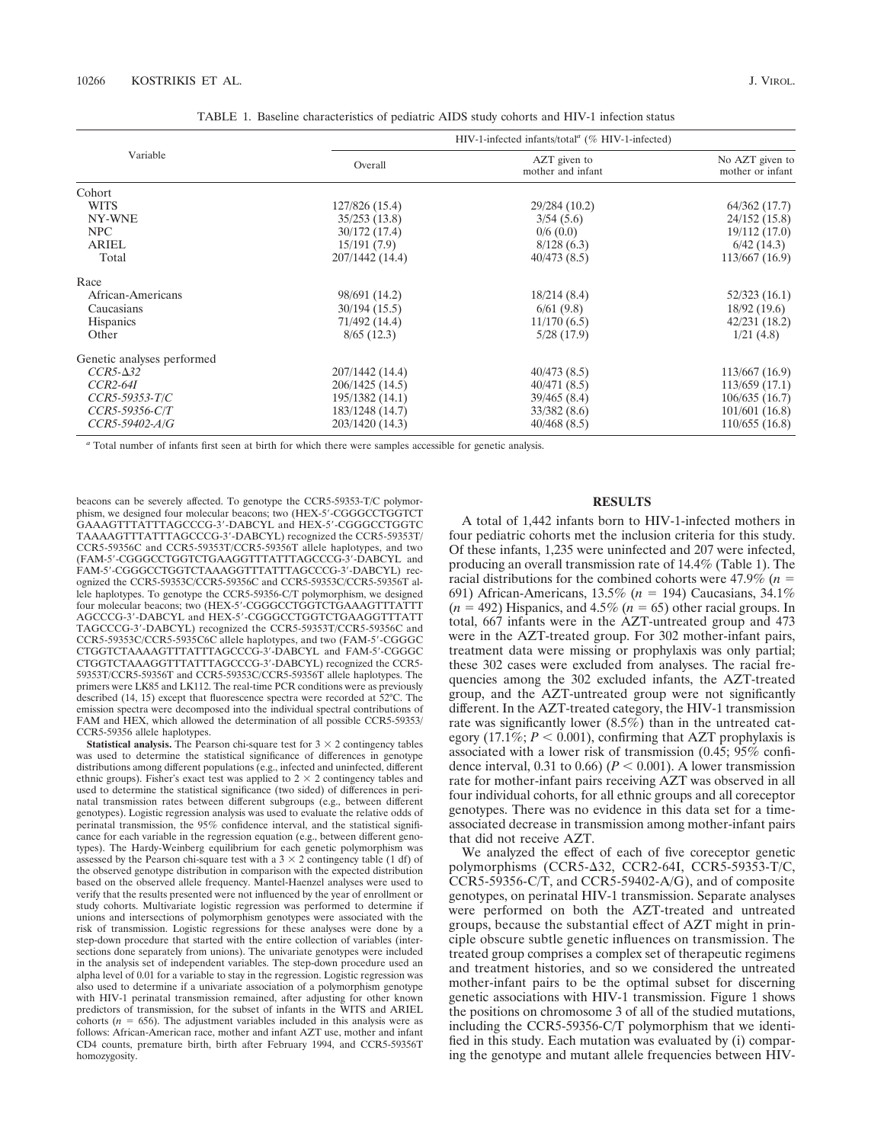| TABLE 1. Baseline characteristics of pediatric AIDS study cohorts and HIV-1 infection status |  |  |
|----------------------------------------------------------------------------------------------|--|--|
|----------------------------------------------------------------------------------------------|--|--|

|                            | HIV-1-infected infants/total <sup><math>\alpha</math></sup> (% HIV-1-infected) |                                   |                                     |  |  |
|----------------------------|--------------------------------------------------------------------------------|-----------------------------------|-------------------------------------|--|--|
| Variable                   | Overall                                                                        | AZT given to<br>mother and infant | No AZT given to<br>mother or infant |  |  |
| Cohort                     |                                                                                |                                   |                                     |  |  |
| <b>WITS</b>                | 127/826 (15.4)                                                                 | 29/284 (10.2)                     | 64/362 (17.7)                       |  |  |
| NY-WNE                     | 35/253(13.8)                                                                   | 3/54(5.6)                         | 24/152 (15.8)                       |  |  |
| NPC                        | 30/172 (17.4)                                                                  | 0/6(0.0)                          | 19/112 (17.0)                       |  |  |
| <b>ARIEL</b>               | 15/191(7.9)                                                                    | 8/128(6.3)                        | 6/42(14.3)                          |  |  |
| Total                      | 207/1442 (14.4)                                                                | 40/473(8.5)                       | 113/667(16.9)                       |  |  |
| Race                       |                                                                                |                                   |                                     |  |  |
| African-Americans          | 98/691 (14.2)                                                                  | 18/214(8.4)                       | 52/323 (16.1)                       |  |  |
| Caucasians                 | 30/194(15.5)                                                                   | 6/61(9.8)                         | 18/92(19.6)                         |  |  |
| <b>Hispanics</b>           | 71/492 (14.4)                                                                  | 11/170(6.5)                       | 42/231(18.2)                        |  |  |
| Other                      | $8/65$ (12.3)                                                                  | 5/28(17.9)                        | 1/21(4.8)                           |  |  |
| Genetic analyses performed |                                                                                |                                   |                                     |  |  |
| $CCR5-\Delta32$            | 207/1442 (14.4)                                                                | 40/473(8.5)                       | 113/667(16.9)                       |  |  |
| $CCR2-64I$                 | 206/1425 (14.5)                                                                | 40/471(8.5)                       | 113/659(17.1)                       |  |  |
| $CCR5-59353-T/C$           | 195/1382 (14.1)                                                                | 39/465(8.4)                       | 106/635(16.7)                       |  |  |
| $CCR5-59356-C/T$           | 183/1248 (14.7)                                                                | 33/382(8.6)                       | 101/601(16.8)                       |  |  |
| CCR5-59402-A/G             | 203/1420 (14.3)                                                                | 40/468(8.5)                       | 110/655(16.8)                       |  |  |

*<sup>a</sup>* Total number of infants first seen at birth for which there were samples accessible for genetic analysis.

beacons can be severely affected. To genotype the CCR5-59353-T/C polymorphism, we designed four molecular beacons; two (HEX-5'-CGGGCCTGGTCT GAAAGTTTATTTAGCCCG-3'-DABCYL and HEX-5'-CGGGCCTGGTC TAAAAGTTTATTTAGCCCG-3'-DABCYL) recognized the CCR5-59353T/ CCR5-59356C and CCR5-59353T/CCR5-59356T allele haplotypes, and two (FAM-5'-CGGGCCTGGTCTGAAGGTTTATTTAGCCCG-3'-DABCYL and FAM-5'-CGGGCCTGGTCTAAAGGTTTATTTAGCCCG-3'-DABCYL) recognized the CCR5-59353C/CCR5-59356C and CCR5-59353C/CCR5-59356T allele haplotypes. To genotype the CCR5-59356-C/T polymorphism, we designed four molecular beacons; two (HEX-5'-CGGGCCTGGTCTGAAAGTTTATTI AGCCCG-3'-DABCYL and HEX-5'-CGGGCCTGGTCTGAAGGTTTATT TAGCCCG-3'-DABCYL) recognized the CCR5-59353T/CCR5-59356C and CCR5-59353C/CCR5-5935C6C allele haplotypes, and two (FAM-5'-CGGGC CTGGTCTAAAAGTTTATTTAGCCCG-3'-DABCYL and FAM-5'-CGGGC CTGGTCTAAAGGTTTATTTAGCCCG-3'-DABCYL) recognized the CCR5-59353T/CCR5-59356T and CCR5-59353C/CCR5-59356T allele haplotypes. The primers were LK85 and LK112. The real-time PCR conditions were as previously described (14, 15) except that fluorescence spectra were recorded at 52°C. The emission spectra were decomposed into the individual spectral contributions of FAM and HEX, which allowed the determination of all possible CCR5-59353/ CCR5-59356 allele haplotypes.

**Statistical analysis.** The Pearson chi-square test for  $3 \times 2$  contingency tables was used to determine the statistical significance of differences in genotype distributions among different populations (e.g., infected and uninfected, different ethnic groups). Fisher's exact test was applied to  $2 \times 2$  contingency tables and used to determine the statistical significance (two sided) of differences in perinatal transmission rates between different subgroups (e.g., between different genotypes). Logistic regression analysis was used to evaluate the relative odds of perinatal transmission, the 95% confidence interval, and the statistical significance for each variable in the regression equation (e.g., between different genotypes). The Hardy-Weinberg equilibrium for each genetic polymorphism was assessed by the Pearson chi-square test with a  $3 \times 2$  contingency table (1 df) of the observed genotype distribution in comparison with the expected distribution based on the observed allele frequency. Mantel-Haenzel analyses were used to verify that the results presented were not influenced by the year of enrollment or study cohorts. Multivariate logistic regression was performed to determine if unions and intersections of polymorphism genotypes were associated with the risk of transmission. Logistic regressions for these analyses were done by a step-down procedure that started with the entire collection of variables (intersections done separately from unions). The univariate genotypes were included in the analysis set of independent variables. The step-down procedure used an alpha level of 0.01 for a variable to stay in the regression. Logistic regression was also used to determine if a univariate association of a polymorphism genotype with HIV-1 perinatal transmission remained, after adjusting for other known predictors of transmission, for the subset of infants in the WITS and ARIEL cohorts ( $n = 656$ ). The adjustment variables included in this analysis were as follows: African-American race, mother and infant AZT use, mother and infant CD4 counts, premature birth, birth after February 1994, and CCR5-59356T homozygosity.

## **RESULTS**

A total of 1,442 infants born to HIV-1-infected mothers in four pediatric cohorts met the inclusion criteria for this study. Of these infants, 1,235 were uninfected and 207 were infected, producing an overall transmission rate of 14.4% (Table 1). The racial distributions for the combined cohorts were  $47.9\%$  ( $n =$ 691) African-Americans,  $13.5\%$  ( $n = 194$ ) Caucasians,  $34.1\%$  $(n = 492)$  Hispanics, and  $4.5\%$   $(n = 65)$  other racial groups. In total, 667 infants were in the AZT-untreated group and 473 were in the AZT-treated group. For 302 mother-infant pairs, treatment data were missing or prophylaxis was only partial; these 302 cases were excluded from analyses. The racial frequencies among the 302 excluded infants, the AZT-treated group, and the AZT-untreated group were not significantly different. In the AZT-treated category, the HIV-1 transmission rate was significantly lower (8.5%) than in the untreated category (17.1%;  $P < 0.001$ ), confirming that AZT prophylaxis is associated with a lower risk of transmission (0.45; 95% confidence interval, 0.31 to 0.66) ( $P < 0.001$ ). A lower transmission rate for mother-infant pairs receiving AZT was observed in all four individual cohorts, for all ethnic groups and all coreceptor genotypes. There was no evidence in this data set for a timeassociated decrease in transmission among mother-infant pairs that did not receive AZT.

We analyzed the effect of each of five coreceptor genetic polymorphisms (CCR5- $\Delta$ 32, CCR2-64I, CCR5-59353-T/C, CCR5-59356-C/T, and CCR5-59402-A/G), and of composite genotypes, on perinatal HIV-1 transmission. Separate analyses were performed on both the AZT-treated and untreated groups, because the substantial effect of AZT might in principle obscure subtle genetic influences on transmission. The treated group comprises a complex set of therapeutic regimens and treatment histories, and so we considered the untreated mother-infant pairs to be the optimal subset for discerning genetic associations with HIV-1 transmission. Figure 1 shows the positions on chromosome 3 of all of the studied mutations, including the CCR5-59356-C/T polymorphism that we identified in this study. Each mutation was evaluated by (i) comparing the genotype and mutant allele frequencies between HIV-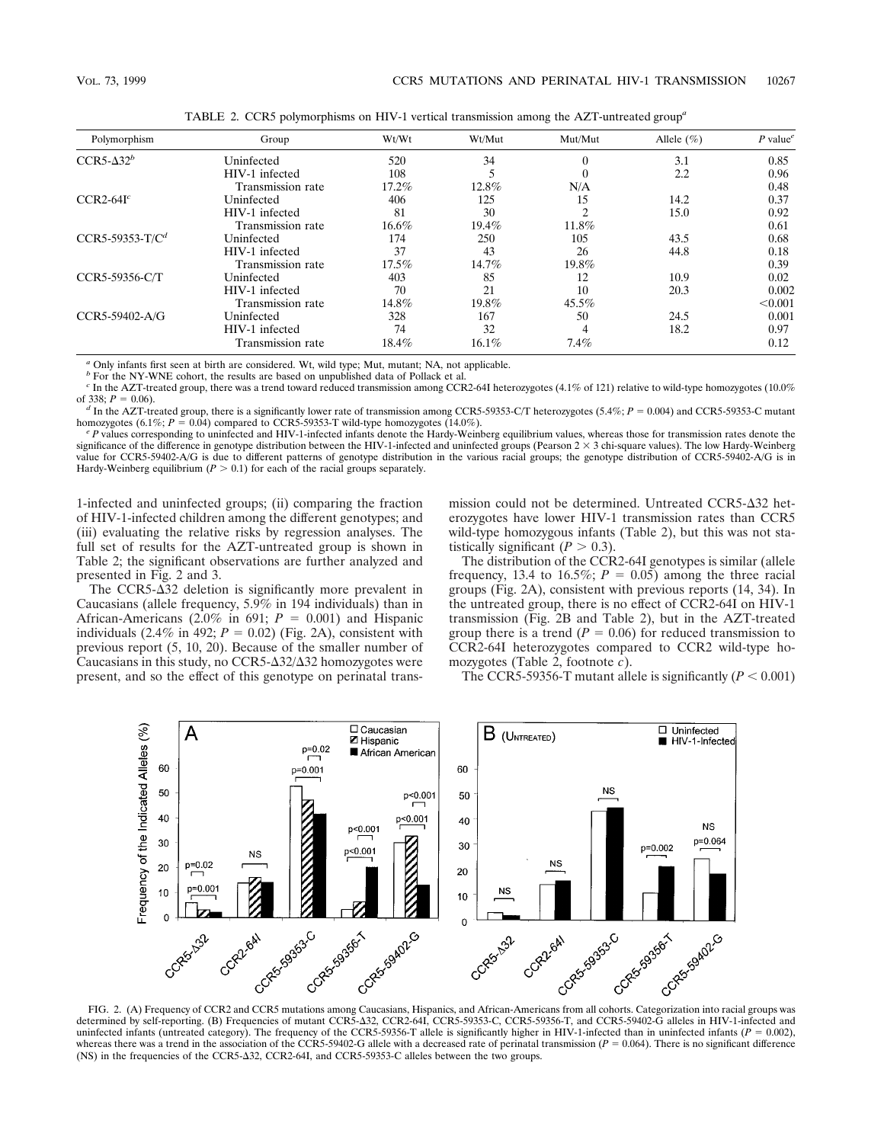| Polymorphism      | Group             | Wt/Wt                 | Wt/Mut           | Mut/Mut  | Allele $(\% )$ | P value |
|-------------------|-------------------|-----------------------|------------------|----------|----------------|---------|
| $CCR5-\Delta32^b$ | Uninfected        | 520                   | 34               |          | 3.1            | 0.85    |
|                   | HIV-1 infected    | 108                   |                  |          | 2.2            | 0.96    |
|                   | Transmission rate | 17.2%<br>12.8%<br>N/A |                  | 0.48     |                |         |
| $CCR2-64Ic$       | Uninfected        | 406                   | 125              | 15       | 14.2           | 0.37    |
|                   | HIV-1 infected    | 81                    | 30               |          | 15.0           | 0.92    |
|                   | Transmission rate | $16.6\%$              | 19.4%            | 11.8%    |                | 0.61    |
| $CCR5-59353-T/Cd$ | Uninfected        | 174                   | 250              | 105      | 43.5           | 0.68    |
|                   | HIV-1 infected    | 37                    | 26<br>44.8<br>43 | 0.18     |                |         |
|                   | Transmission rate | $17.5\%$              | 14.7%            | 19.8%    |                | 0.39    |
| CCR5-59356-C/T    | Uninfected        | 403                   | 85               | 12       | 10.9           | 0.02    |
|                   | HIV-1 infected    | 70                    | 21               | 10       | 20.3           | 0.002   |
|                   | Transmission rate | 14.8%                 | 19.8%            | $45.5\%$ |                | < 0.001 |
| CCR5-59402-A/G    | Uninfected        | 328                   | 167              | 50       | 24.5           | 0.001   |
|                   | HIV-1 infected    | 74                    | 32               |          | 18.2           | 0.97    |
|                   | Transmission rate | $18.4\%$              | $16.1\%$         | 7.4%     |                | 0.12    |

TABLE 2. CCR5 polymorphisms on HIV-1 vertical transmission among the AZT-untreated group*<sup>a</sup>*

*<sup>a</sup>* Only infants first seen at birth are considered. Wt, wild type; Mut, mutant; NA, not applicable.

*b* For the NY-WNE cohort, the results are based on unpublished data of Pollack et al.

<sup>c</sup> In the AZT-treated group, there was a trend toward reduced transmission among CCR2-64I heterozygotes (4.1% of 121) relative to wild-type homozygotes (10.0% of 338;  $P = 0.06$ ).

<sup>d</sup> In the AZT-treated group, there is a significantly lower rate of transmission among CCR5-59353-C/T heterozygotes (5.4%;  $P = 0.004$ ) and CCR5-59353-C mutant homozygotes (6.1%;  $P = 0.04$ ) compared to CCR5-59353-T wild-t

 ${}^eP$  values corresponding to uninfected and HIV-1-infected infants denote the Hardy-Weinberg equilibrium values, whereas those for transmission rates denote the significance of the difference in genotype distribution between the HIV-1-infected and uninfected groups (Pearson 2 × 3 chi-square values). The low Hardy-Weinberg value for CCR5-59402-A/G is due to different patterns of genotype distribution in the various racial groups; the genotype distribution of CCR5-59402-A/G is in Hardy-Weinberg equilibrium ( $P > 0.1$ ) for each of the racial groups separately.

1-infected and uninfected groups; (ii) comparing the fraction of HIV-1-infected children among the different genotypes; and (iii) evaluating the relative risks by regression analyses. The full set of results for the AZT-untreated group is shown in Table 2; the significant observations are further analyzed and presented in Fig. 2 and 3.

The CCR5- $\Delta$ 32 deletion is significantly more prevalent in Caucasians (allele frequency, 5.9% in 194 individuals) than in African-Americans (2.0% in 691;  $P = 0.001$ ) and Hispanic individuals  $(2.4\%$  in 492;  $P = 0.02$ ) (Fig. 2A), consistent with previous report (5, 10, 20). Because of the smaller number of Caucasians in this study, no  $CCR5-\Delta 32/\Delta 32$  homozygotes were present, and so the effect of this genotype on perinatal transmission could not be determined. Untreated  $CCR5-\Delta 32$  heterozygotes have lower HIV-1 transmission rates than CCR5 wild-type homozygous infants (Table 2), but this was not statistically significant  $(P > 0.3)$ .

The distribution of the CCR2-64I genotypes is similar (allele frequency, 13.4 to 16.5%;  $P = 0.05$ ) among the three racial groups (Fig. 2A), consistent with previous reports (14, 34). In the untreated group, there is no effect of CCR2-64I on HIV-1 transmission (Fig. 2B and Table 2), but in the AZT-treated group there is a trend  $(P = 0.06)$  for reduced transmission to CCR2-64I heterozygotes compared to CCR2 wild-type homozygotes (Table 2, footnote *c*).

The CCR5-59356-T mutant allele is significantly  $(P < 0.001)$ 



determined by self-reporting. (B) Frequencies of mutant CCR5-D32, CCR2-64I, CCR5-59353-C, CCR5-59356-T, and CCR5-59402-G alleles in HIV-1-infected and uninfected infants (untreated category). The frequency of the CCR5-59356-T allele is significantly higher in HIV-1-infected than in uninfected infants ( $P = 0.002$ ), whereas there was a trend in the association of the CCR5-59402-G allele with a decreased rate of perinatal transmission  $(P = 0.064)$ . There is no significant difference (NS) in the frequencies of the CCR5-D32, CCR2-64I, and CCR5-59353-C alleles between the two groups.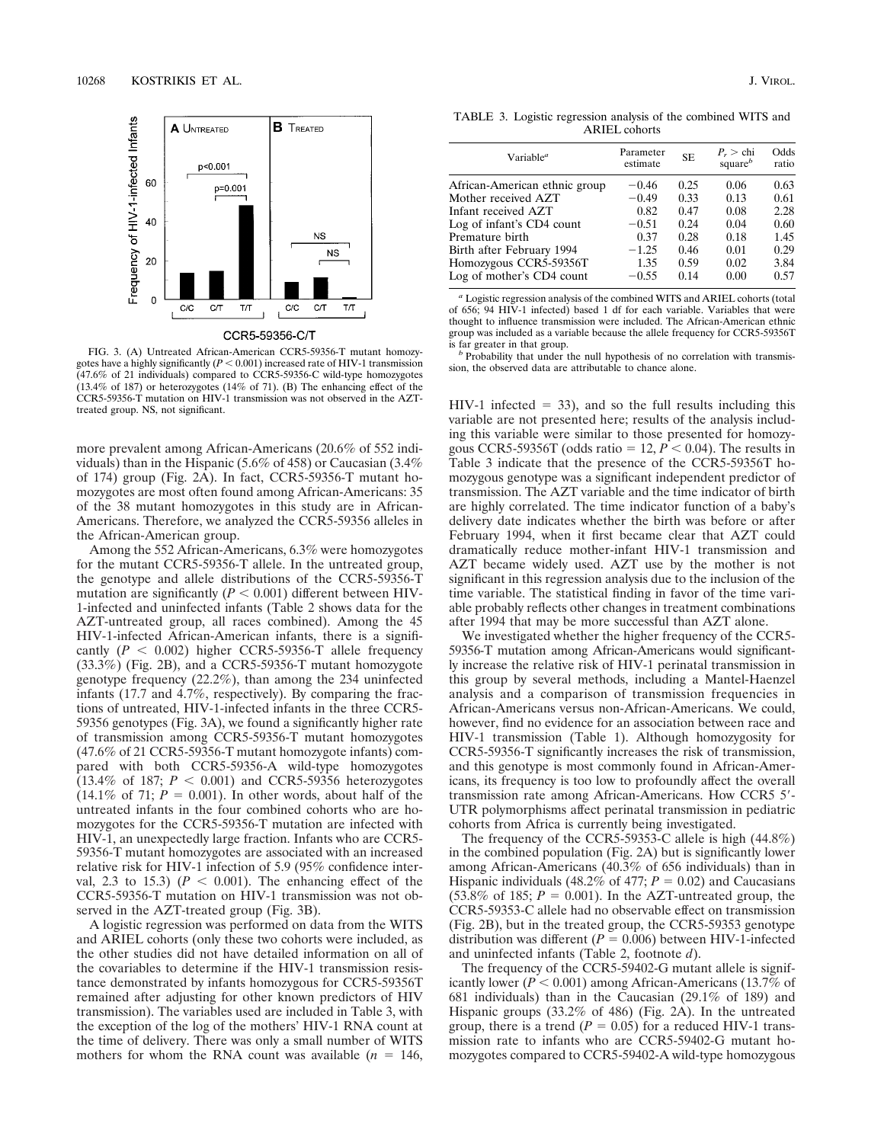

CCR5-59356-C/T

FIG. 3. (A) Untreated African-American CCR5-59356-T mutant homozygotes have a highly significantly  $(P < 0.001)$  increased rate of HIV-1 transmission (47.6% of 21 individuals) compared to CCR5-59356-C wild-type homozygotes  $(13.4\% \text{ of } 187)$  or heterozygotes  $(14\% \text{ of } 71)$ . (B) The enhancing effect of the CCR5-59356-T mutation on HIV-1 transmission was not observed in the AZTtreated group. NS, not significant.

more prevalent among African-Americans (20.6% of 552 individuals) than in the Hispanic (5.6% of 458) or Caucasian (3.4% of 174) group (Fig. 2A). In fact, CCR5-59356-T mutant homozygotes are most often found among African-Americans: 35 of the 38 mutant homozygotes in this study are in African-Americans. Therefore, we analyzed the CCR5-59356 alleles in the African-American group.

Among the 552 African-Americans, 6.3% were homozygotes for the mutant CCR5-59356-T allele. In the untreated group, the genotype and allele distributions of the CCR5-59356-T mutation are significantly  $(P < 0.001)$  different between HIV-1-infected and uninfected infants (Table 2 shows data for the AZT-untreated group, all races combined). Among the 45 HIV-1-infected African-American infants, there is a significantly  $(P < 0.002)$  higher CCR5-59356-T allele frequency (33.3%) (Fig. 2B), and a CCR5-59356-T mutant homozygote genotype frequency (22.2%), than among the 234 uninfected infants (17.7 and 4.7%, respectively). By comparing the fractions of untreated, HIV-1-infected infants in the three CCR5- 59356 genotypes (Fig. 3A), we found a significantly higher rate of transmission among CCR5-59356-T mutant homozygotes (47.6% of 21 CCR5-59356-T mutant homozygote infants) compared with both CCR5-59356-A wild-type homozygotes  $(13.4\% \text{ of } 187; P < 0.001)$  and CCR5-59356 heterozygotes  $(14.1\% \text{ of } 71; P = 0.001)$ . In other words, about half of the untreated infants in the four combined cohorts who are homozygotes for the CCR5-59356-T mutation are infected with HIV-1, an unexpectedly large fraction. Infants who are CCR5- 59356-T mutant homozygotes are associated with an increased relative risk for HIV-1 infection of 5.9 (95% confidence interval, 2.3 to 15.3) ( $P < 0.001$ ). The enhancing effect of the CCR5-59356-T mutation on HIV-1 transmission was not observed in the AZT-treated group (Fig. 3B).

A logistic regression was performed on data from the WITS and ARIEL cohorts (only these two cohorts were included, as the other studies did not have detailed information on all of the covariables to determine if the HIV-1 transmission resistance demonstrated by infants homozygous for CCR5-59356T remained after adjusting for other known predictors of HIV transmission). The variables used are included in Table 3, with the exception of the log of the mothers' HIV-1 RNA count at the time of delivery. There was only a small number of WITS mothers for whom the RNA count was available  $(n = 146,$ 

TABLE 3. Logistic regression analysis of the combined WITS and ARIEL cohorts

| Variable <sup>a</sup>         | Parameter<br>estimate | <b>SE</b> | $P_r >$ chi<br>square $\mathfrak{b}$ | Odds<br>ratio |
|-------------------------------|-----------------------|-----------|--------------------------------------|---------------|
| African-American ethnic group | $-0.46$               | 0.25      | 0.06                                 | 0.63          |
| Mother received AZT           | $-0.49$               | 0.33      | 0.13                                 | 0.61          |
| Infant received AZT           | 0.82                  | 0.47      | 0.08                                 | 2.28          |
| Log of infant's CD4 count     | $-0.51$               | 0.24      | 0.04                                 | 0.60          |
| Premature birth               | 0.37                  | 0.28      | 0.18                                 | 1.45          |
| Birth after February 1994     | $-1.25$               | 0.46      | 0.01                                 | 0.29          |
| Homozygous CCR5-59356T        | 1.35                  | 0.59      | 0.02                                 | 3.84          |
| Log of mother's CD4 count     | $-0.55$               | 0.14      | 0.00                                 | 0.57          |
|                               |                       |           |                                      |               |

*<sup>a</sup>* Logistic regression analysis of the combined WITS and ARIEL cohorts (total of 656; 94 HIV-1 infected) based 1 df for each variable. Variables that were thought to influence transmission were included. The African-American ethnic group was included as a variable because the allele frequency for CCR5-59356T

<sup>*b*</sup> Probability that under the null hypothesis of no correlation with transmission, the observed data are attributable to chance alone.

 $HIV-1$  infected = 33), and so the full results including this variable are not presented here; results of the analysis including this variable were similar to those presented for homozygous CCR5-59356T (odds ratio =  $12, P < 0.04$ ). The results in Table 3 indicate that the presence of the CCR5-59356T homozygous genotype was a significant independent predictor of transmission. The AZT variable and the time indicator of birth are highly correlated. The time indicator function of a baby's delivery date indicates whether the birth was before or after February 1994, when it first became clear that AZT could dramatically reduce mother-infant HIV-1 transmission and AZT became widely used. AZT use by the mother is not significant in this regression analysis due to the inclusion of the time variable. The statistical finding in favor of the time variable probably reflects other changes in treatment combinations after 1994 that may be more successful than AZT alone.

We investigated whether the higher frequency of the CCR5- 59356-T mutation among African-Americans would significantly increase the relative risk of HIV-1 perinatal transmission in this group by several methods, including a Mantel-Haenzel analysis and a comparison of transmission frequencies in African-Americans versus non-African-Americans. We could, however, find no evidence for an association between race and HIV-1 transmission (Table 1). Although homozygosity for CCR5-59356-T significantly increases the risk of transmission, and this genotype is most commonly found in African-Americans, its frequency is too low to profoundly affect the overall transmission rate among African-Americans. How CCR5 5'-UTR polymorphisms affect perinatal transmission in pediatric cohorts from Africa is currently being investigated.

The frequency of the CCR5-59353-C allele is high (44.8%) in the combined population (Fig. 2A) but is significantly lower among African-Americans (40.3% of 656 individuals) than in Hispanic individuals (48.2% of 477;  $P = 0.02$ ) and Caucasians  $(53.8\% \text{ of } 185; P = 0.001)$ . In the AZT-untreated group, the CCR5-59353-C allele had no observable effect on transmission (Fig. 2B), but in the treated group, the CCR5-59353 genotype distribution was different ( $P = 0.006$ ) between HIV-1-infected and uninfected infants (Table 2, footnote *d*).

The frequency of the CCR5-59402-G mutant allele is significantly lower ( $P < 0.001$ ) among African-Americans (13.7% of 681 individuals) than in the Caucasian (29.1% of 189) and Hispanic groups (33.2% of 486) (Fig. 2A). In the untreated group, there is a trend  $(P = 0.05)$  for a reduced HIV-1 transmission rate to infants who are CCR5-59402-G mutant homozygotes compared to CCR5-59402-A wild-type homozygous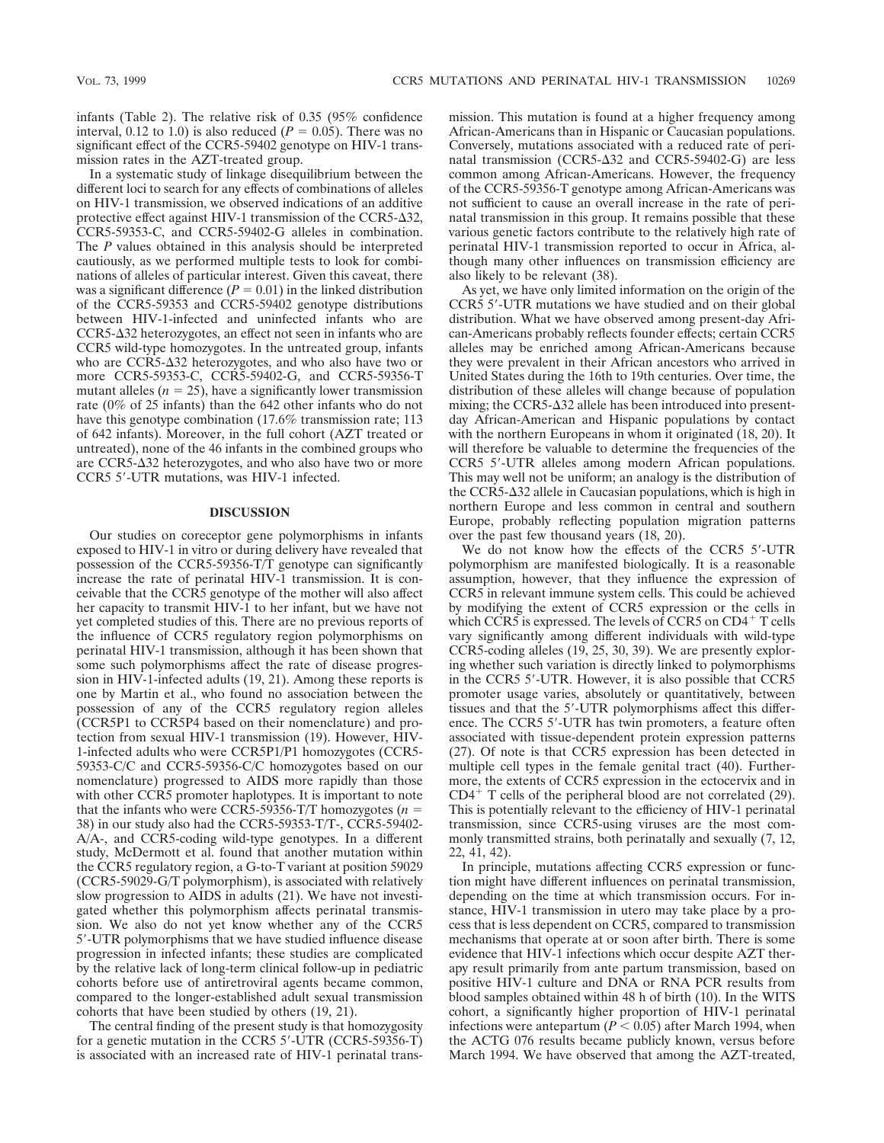infants (Table 2). The relative risk of 0.35 (95% confidence interval, 0.12 to 1.0) is also reduced  $(P = 0.05)$ . There was no significant effect of the CCR5-59402 genotype on HIV-1 transmission rates in the AZT-treated group.

In a systematic study of linkage disequilibrium between the different loci to search for any effects of combinations of alleles on HIV-1 transmission, we observed indications of an additive protective effect against HIV-1 transmission of the CCR5- $\Delta$ 32, CCR5-59353-C, and CCR5-59402-G alleles in combination. The *P* values obtained in this analysis should be interpreted cautiously, as we performed multiple tests to look for combinations of alleles of particular interest. Given this caveat, there was a significant difference  $(P = 0.01)$  in the linked distribution of the CCR5-59353 and CCR5-59402 genotype distributions between HIV-1-infected and uninfected infants who are  $CCR5-\Delta32$  heterozygotes, an effect not seen in infants who are CCR5 wild-type homozygotes. In the untreated group, infants who are  $CCR5-\Delta 32$  heterozygotes, and who also have two or more CCR5-59353-C, CCR5-59402-G, and CCR5-59356-T mutant alleles  $(n = 25)$ , have a significantly lower transmission rate (0% of 25 infants) than the 642 other infants who do not have this genotype combination (17.6% transmission rate; 113 of 642 infants). Moreover, in the full cohort (AZT treated or untreated), none of the 46 infants in the combined groups who are CCR5- $\Delta$ 32 heterozygotes, and who also have two or more CCR5 5'-UTR mutations, was HIV-1 infected.

## **DISCUSSION**

Our studies on coreceptor gene polymorphisms in infants exposed to HIV-1 in vitro or during delivery have revealed that possession of the CCR5-59356-T/T genotype can significantly increase the rate of perinatal HIV-1 transmission. It is conceivable that the CCR5 genotype of the mother will also affect her capacity to transmit HIV-1 to her infant, but we have not yet completed studies of this. There are no previous reports of the influence of CCR5 regulatory region polymorphisms on perinatal HIV-1 transmission, although it has been shown that some such polymorphisms affect the rate of disease progression in HIV-1-infected adults (19, 21). Among these reports is one by Martin et al., who found no association between the possession of any of the CCR5 regulatory region alleles (CCR5P1 to CCR5P4 based on their nomenclature) and protection from sexual HIV-1 transmission (19). However, HIV-1-infected adults who were CCR5P1/P1 homozygotes (CCR5- 59353-C/C and CCR5-59356-C/C homozygotes based on our nomenclature) progressed to AIDS more rapidly than those with other CCR5 promoter haplotypes. It is important to note that the infants who were CCR5-59356-T/T homozygotes ( $n =$ 38) in our study also had the CCR5-59353-T/T-, CCR5-59402- A/A-, and CCR5-coding wild-type genotypes. In a different study, McDermott et al. found that another mutation within the CCR5 regulatory region, a G-to-T variant at position 59029 (CCR5-59029-G/T polymorphism), is associated with relatively slow progression to AIDS in adults (21). We have not investigated whether this polymorphism affects perinatal transmission. We also do not yet know whether any of the CCR5 5'-UTR polymorphisms that we have studied influence disease progression in infected infants; these studies are complicated by the relative lack of long-term clinical follow-up in pediatric cohorts before use of antiretroviral agents became common, compared to the longer-established adult sexual transmission cohorts that have been studied by others (19, 21).

The central finding of the present study is that homozygosity for a genetic mutation in the CCR5 5'-UTR (CCR5-59356-T) is associated with an increased rate of HIV-1 perinatal transmission. This mutation is found at a higher frequency among African-Americans than in Hispanic or Caucasian populations. Conversely, mutations associated with a reduced rate of perinatal transmission (CCR5- $\Delta$ 32 and CCR5-59402-G) are less common among African-Americans. However, the frequency of the CCR5-59356-T genotype among African-Americans was not sufficient to cause an overall increase in the rate of perinatal transmission in this group. It remains possible that these various genetic factors contribute to the relatively high rate of perinatal HIV-1 transmission reported to occur in Africa, although many other influences on transmission efficiency are also likely to be relevant (38).

As yet, we have only limited information on the origin of the CCR5 5'-UTR mutations we have studied and on their global distribution. What we have observed among present-day African-Americans probably reflects founder effects; certain CCR5 alleles may be enriched among African-Americans because they were prevalent in their African ancestors who arrived in United States during the 16th to 19th centuries. Over time, the distribution of these alleles will change because of population mixing; the CCR5- $\Delta$ 32 allele has been introduced into presentday African-American and Hispanic populations by contact with the northern Europeans in whom it originated  $(18, 20)$ . It will therefore be valuable to determine the frequencies of the CCR5 5'-UTR alleles among modern African populations. This may well not be uniform; an analogy is the distribution of the CCR5- $\Delta$ 32 allele in Caucasian populations, which is high in northern Europe and less common in central and southern Europe, probably reflecting population migration patterns over the past few thousand years (18, 20).

We do not know how the effects of the CCR5 5'-UTR polymorphism are manifested biologically. It is a reasonable assumption, however, that they influence the expression of CCR5 in relevant immune system cells. This could be achieved by modifying the extent of CCR5 expression or the cells in which CCR5 is expressed. The levels of CCR5 on  $CD4^+$  T cells vary significantly among different individuals with wild-type CCR5-coding alleles (19, 25, 30, 39). We are presently exploring whether such variation is directly linked to polymorphisms in the CCR5 5'-UTR. However, it is also possible that CCR5 promoter usage varies, absolutely or quantitatively, between tissues and that the 5'-UTR polymorphisms affect this difference. The CCR5 5'-UTR has twin promoters, a feature often associated with tissue-dependent protein expression patterns (27). Of note is that CCR5 expression has been detected in multiple cell types in the female genital tract (40). Furthermore, the extents of CCR5 expression in the ectocervix and in  $CD4^+$  T cells of the peripheral blood are not correlated (29). This is potentially relevant to the efficiency of HIV-1 perinatal transmission, since CCR5-using viruses are the most commonly transmitted strains, both perinatally and sexually (7, 12, 22, 41, 42).

In principle, mutations affecting CCR5 expression or function might have different influences on perinatal transmission, depending on the time at which transmission occurs. For instance, HIV-1 transmission in utero may take place by a process that is less dependent on CCR5, compared to transmission mechanisms that operate at or soon after birth. There is some evidence that HIV-1 infections which occur despite AZT therapy result primarily from ante partum transmission, based on positive HIV-1 culture and DNA or RNA PCR results from blood samples obtained within 48 h of birth (10). In the WITS cohort, a significantly higher proportion of HIV-1 perinatal infections were antepartum ( $P < 0.05$ ) after March 1994, when the ACTG 076 results became publicly known, versus before March 1994. We have observed that among the AZT-treated,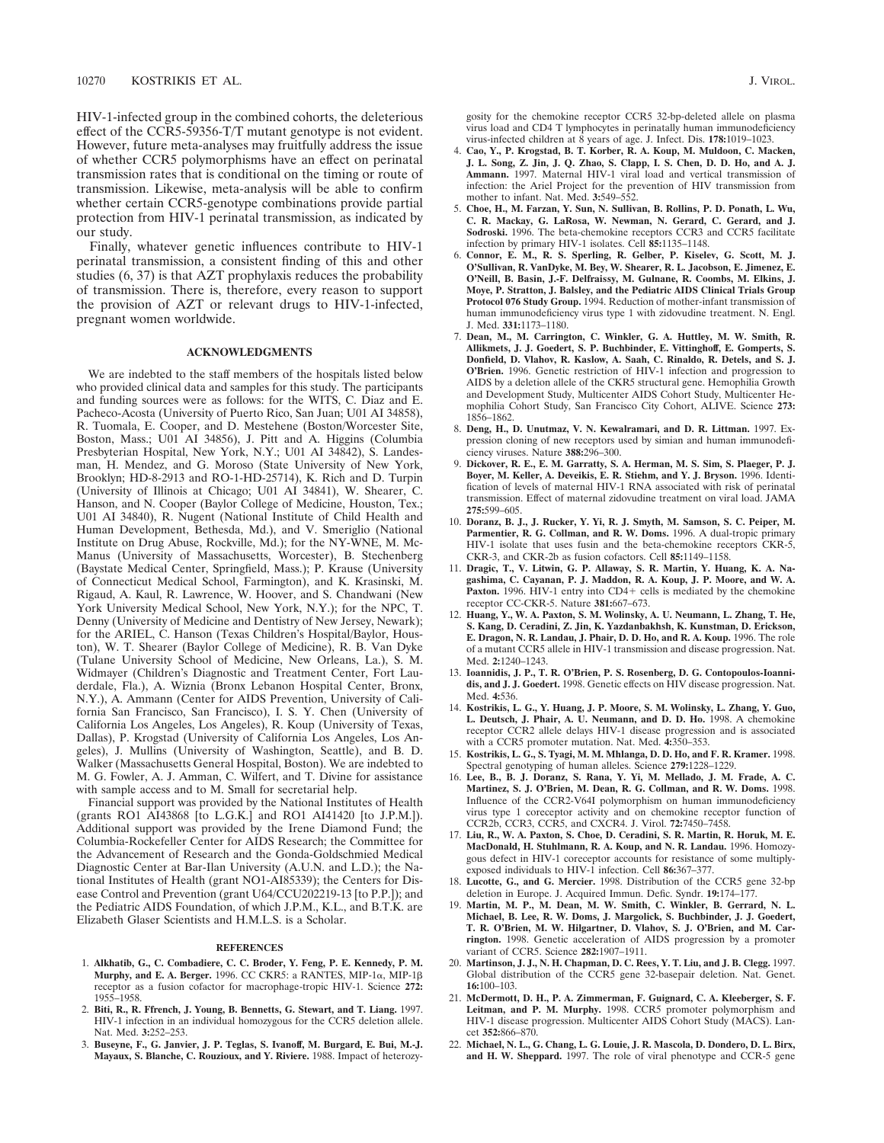HIV-1-infected group in the combined cohorts, the deleterious effect of the CCR5-59356-T/T mutant genotype is not evident. However, future meta-analyses may fruitfully address the issue of whether CCR5 polymorphisms have an effect on perinatal transmission rates that is conditional on the timing or route of transmission. Likewise, meta-analysis will be able to confirm whether certain CCR5-genotype combinations provide partial protection from HIV-1 perinatal transmission, as indicated by our study.

Finally, whatever genetic influences contribute to HIV-1 perinatal transmission, a consistent finding of this and other studies (6, 37) is that AZT prophylaxis reduces the probability of transmission. There is, therefore, every reason to support the provision of AZT or relevant drugs to HIV-1-infected, pregnant women worldwide.

### **ACKNOWLEDGMENTS**

We are indebted to the staff members of the hospitals listed below who provided clinical data and samples for this study. The participants and funding sources were as follows: for the WITS, C. Diaz and E. Pacheco-Acosta (University of Puerto Rico, San Juan; U01 AI 34858), R. Tuomala, E. Cooper, and D. Mestehene (Boston/Worcester Site, Boston, Mass.; U01 AI 34856), J. Pitt and A. Higgins (Columbia Presbyterian Hospital, New York, N.Y.; U01 AI 34842), S. Landesman, H. Mendez, and G. Moroso (State University of New York, Brooklyn; HD-8-2913 and RO-1-HD-25714), K. Rich and D. Turpin (University of Illinois at Chicago; U01 AI 34841), W. Shearer, C. Hanson, and N. Cooper (Baylor College of Medicine, Houston, Tex.; U01 AI 34840), R. Nugent (National Institute of Child Health and Human Development, Bethesda, Md.), and V. Smeriglio (National Institute on Drug Abuse, Rockville, Md.); for the NY-WNE, M. Mc-Manus (University of Massachusetts, Worcester), B. Stechenberg (Baystate Medical Center, Springfield, Mass.); P. Krause (University of Connecticut Medical School, Farmington), and K. Krasinski, M. Rigaud, A. Kaul, R. Lawrence, W. Hoover, and S. Chandwani (New York University Medical School, New York, N.Y.); for the NPC, T. Denny (University of Medicine and Dentistry of New Jersey, Newark); for the ARIEL, C. Hanson (Texas Children's Hospital/Baylor, Houston), W. T. Shearer (Baylor College of Medicine), R. B. Van Dyke (Tulane University School of Medicine, New Orleans, La.), S. M. Widmayer (Children's Diagnostic and Treatment Center, Fort Lauderdale, Fla.), A. Wiznia (Bronx Lebanon Hospital Center, Bronx, N.Y.), A. Ammann (Center for AIDS Prevention, University of California San Francisco, San Francisco), I. S. Y. Chen (University of California Los Angeles, Los Angeles), R. Koup (University of Texas, Dallas), P. Krogstad (University of California Los Angeles, Los Angeles), J. Mullins (University of Washington, Seattle), and B. D. Walker (Massachusetts General Hospital, Boston). We are indebted to M. G. Fowler, A. J. Amman, C. Wilfert, and T. Divine for assistance with sample access and to M. Small for secretarial help.

Financial support was provided by the National Institutes of Health (grants RO1 AI43868 [to L.G.K.] and RO1 AI41420 [to J.P.M.]). Additional support was provided by the Irene Diamond Fund; the Columbia-Rockefeller Center for AIDS Research; the Committee for the Advancement of Research and the Gonda-Goldschmied Medical Diagnostic Center at Bar-Ilan University (A.U.N. and L.D.); the National Institutes of Health (grant NO1-AI85339); the Centers for Disease Control and Prevention (grant U64/CCU202219-13 [to P.P.]); and the Pediatric AIDS Foundation, of which J.P.M., K.L., and B.T.K. are Elizabeth Glaser Scientists and H.M.L.S. is a Scholar.

#### **REFERENCES**

- 1. **Alkhatib, G., C. Combadiere, C. C. Broder, Y. Feng, P. E. Kennedy, P. M. Murphy, and E. A. Berger.** 1996. CC CKR5: a RANTES, MIP-1a, MIP-1b receptor as a fusion cofactor for macrophage-tropic HIV-1. Science **272:** 1955–1958.
- 2. **Biti, R., R. Ffrench, J. Young, B. Bennetts, G. Stewart, and T. Liang.** 1997. HIV-1 infection in an individual homozygous for the CCR5 deletion allele. Nat. Med. **3:**252–253.
- 3. **Buseyne, F., G. Janvier, J. P. Teglas, S. Ivanoff, M. Burgard, E. Bui, M.-J. Mayaux, S. Blanche, C. Rouzioux, and Y. Riviere.** 1988. Impact of heterozy-

gosity for the chemokine receptor CCR5 32-bp-deleted allele on plasma virus load and CD4 T lymphocytes in perinatally human immunodeficiency virus-infected children at 8 years of age. J. Infect. Dis. **178:**1019–1023.

- 4. **Cao, Y., P. Krogstad, B. T. Korber, R. A. Koup, M. Muldoon, C. Macken, J. L. Song, Z. Jin, J. Q. Zhao, S. Clapp, I. S. Chen, D. D. Ho, and A. J. Ammann.** 1997. Maternal HIV-1 viral load and vertical transmission of infection: the Ariel Project for the prevention of HIV transmission from mother to infant. Nat. Med. **3:**549–552.
- 5. **Choe, H., M. Farzan, Y. Sun, N. Sullivan, B. Rollins, P. D. Ponath, L. Wu, C. R. Mackay, G. LaRosa, W. Newman, N. Gerard, C. Gerard, and J. Sodroski.** 1996. The beta-chemokine receptors CCR3 and CCR5 facilitate infection by primary HIV-1 isolates. Cell **85:**1135–1148.
- 6. **Connor, E. M., R. S. Sperling, R. Gelber, P. Kiselev, G. Scott, M. J. O'Sullivan, R. VanDyke, M. Bey, W. Shearer, R. L. Jacobson, E. Jimenez, E. O'Neill, B. Basin, J.-F. Delfraissy, M. Gulnane, R. Coombs, M. Elkins, J. Moye, P. Stratton, J. Balsley, and the Pediatric AIDS Clinical Trials Group Protocol 076 Study Group.** 1994. Reduction of mother-infant transmission of human immunodeficiency virus type 1 with zidovudine treatment. N. Engl. J. Med. **331:**1173–1180.
- 7. **Dean, M., M. Carrington, C. Winkler, G. A. Huttley, M. W. Smith, R. Allikmets, J. J. Goedert, S. P. Buchbinder, E. Vittinghoff, E. Gomperts, S. Donfield, D. Vlahov, R. Kaslow, A. Saah, C. Rinaldo, R. Detels, and S. J. O'Brien.** 1996. Genetic restriction of HIV-1 infection and progression to AIDS by a deletion allele of the CKR5 structural gene. Hemophilia Growth and Development Study, Multicenter AIDS Cohort Study, Multicenter Hemophilia Cohort Study, San Francisco City Cohort, ALIVE. Science **273:** 1856–1862.
- 8. **Deng, H., D. Unutmaz, V. N. Kewalramari, and D. R. Littman.** 1997. Expression cloning of new receptors used by simian and human immunodeficiency viruses. Nature **388:**296–300.
- 9. **Dickover, R. E., E. M. Garratty, S. A. Herman, M. S. Sim, S. Plaeger, P. J. Boyer, M. Keller, A. Deveikis, E. R. Stiehm, and Y. J. Bryson.** 1996. Identification of levels of maternal HIV-1 RNA associated with risk of perinatal transmission. Effect of maternal zidovudine treatment on viral load. JAMA **275:**599–605.
- 10. **Doranz, B. J., J. Rucker, Y. Yi, R. J. Smyth, M. Samson, S. C. Peiper, M. Parmentier, R. G. Collman, and R. W. Doms.** 1996. A dual-tropic primary HIV-1 isolate that uses fusin and the beta-chemokine receptors CKR-5, CKR-3, and CKR-2b as fusion cofactors. Cell **85:**1149–1158.
- 11. **Dragic, T., V. Litwin, G. P. Allaway, S. R. Martin, Y. Huang, K. A. Nagashima, C. Cayanan, P. J. Maddon, R. A. Koup, J. P. Moore, and W. A.** Paxton. 1996. HIV-1 entry into CD4+ cells is mediated by the chemokine receptor CC-CKR-5. Nature **381:**667–673.
- 12. **Huang, Y., W. A. Paxton, S. M. Wolinsky, A. U. Neumann, L. Zhang, T. He, S. Kang, D. Ceradini, Z. Jin, K. Yazdanbakhsh, K. Kunstman, D. Erickson, E. Dragon, N. R. Landau, J. Phair, D. D. Ho, and R. A. Koup.** 1996. The role of a mutant CCR5 allele in HIV-1 transmission and disease progression. Nat. Med. **2:**1240–1243.
- 13. **Ioannidis, J. P., T. R. O'Brien, P. S. Rosenberg, D. G. Contopoulos-Ioannidis, and J. J. Goedert.** 1998. Genetic effects on HIV disease progression. Nat. Med. **4:**536.
- 14. **Kostrikis, L. G., Y. Huang, J. P. Moore, S. M. Wolinsky, L. Zhang, Y. Guo, L. Deutsch, J. Phair, A. U. Neumann, and D. D. Ho.** 1998. A chemokine receptor CCR2 allele delays HIV-1 disease progression and is associated with a CCR5 promoter mutation. Nat. Med. **4:**350–353.
- 15. **Kostrikis, L. G., S. Tyagi, M. M. Mhlanga, D. D. Ho, and F. R. Kramer.** 1998. Spectral genotyping of human alleles. Science **279:**1228–1229.
- 16. **Lee, B., B. J. Doranz, S. Rana, Y. Yi, M. Mellado, J. M. Frade, A. C. Martinez, S. J. O'Brien, M. Dean, R. G. Collman, and R. W. Doms.** 1998. Influence of the CCR2-V64I polymorphism on human immunodeficiency virus type 1 coreceptor activity and on chemokine receptor function of CCR2b, CCR3, CCR5, and CXCR4. J. Virol. **72:**7450–7458.
- 17. **Liu, R., W. A. Paxton, S. Choe, D. Ceradini, S. R. Martin, R. Horuk, M. E. MacDonald, H. Stuhlmann, R. A. Koup, and N. R. Landau.** 1996. Homozygous defect in HIV-1 coreceptor accounts for resistance of some multiplyexposed individuals to HIV-1 infection. Cell **86:**367–377.
- 18. **Lucotte, G., and G. Mercier.** 1998. Distribution of the CCR5 gene 32-bp deletion in Europe. J. Acquired Immun. Defic. Syndr. **19:**174–177.
- 19. **Martin, M. P., M. Dean, M. W. Smith, C. Winkler, B. Gerrard, N. L. Michael, B. Lee, R. W. Doms, J. Margolick, S. Buchbinder, J. J. Goedert, T. R. O'Brien, M. W. Hilgartner, D. Vlahov, S. J. O'Brien, and M. Carrington.** 1998. Genetic acceleration of AIDS progression by a promoter variant of CCR5. Science **282:**1907–1911.
- 20. **Martinson, J. J., N. H. Chapman, D. C. Rees, Y. T. Liu, and J. B. Clegg.** 1997. Global distribution of the CCR5 gene 32-basepair deletion. Nat. Genet. **16:**100–103.
- 21. **McDermott, D. H., P. A. Zimmerman, F. Guignard, C. A. Kleeberger, S. F. Leitman, and P. M. Murphy.** 1998. CCR5 promoter polymorphism and HIV-1 disease progression. Multicenter AIDS Cohort Study (MACS). Lancet **352:**866–870.
- 22. **Michael, N. L., G. Chang, L. G. Louie, J. R. Mascola, D. Dondero, D. L. Birx, and H. W. Sheppard.** 1997. The role of viral phenotype and CCR-5 gene